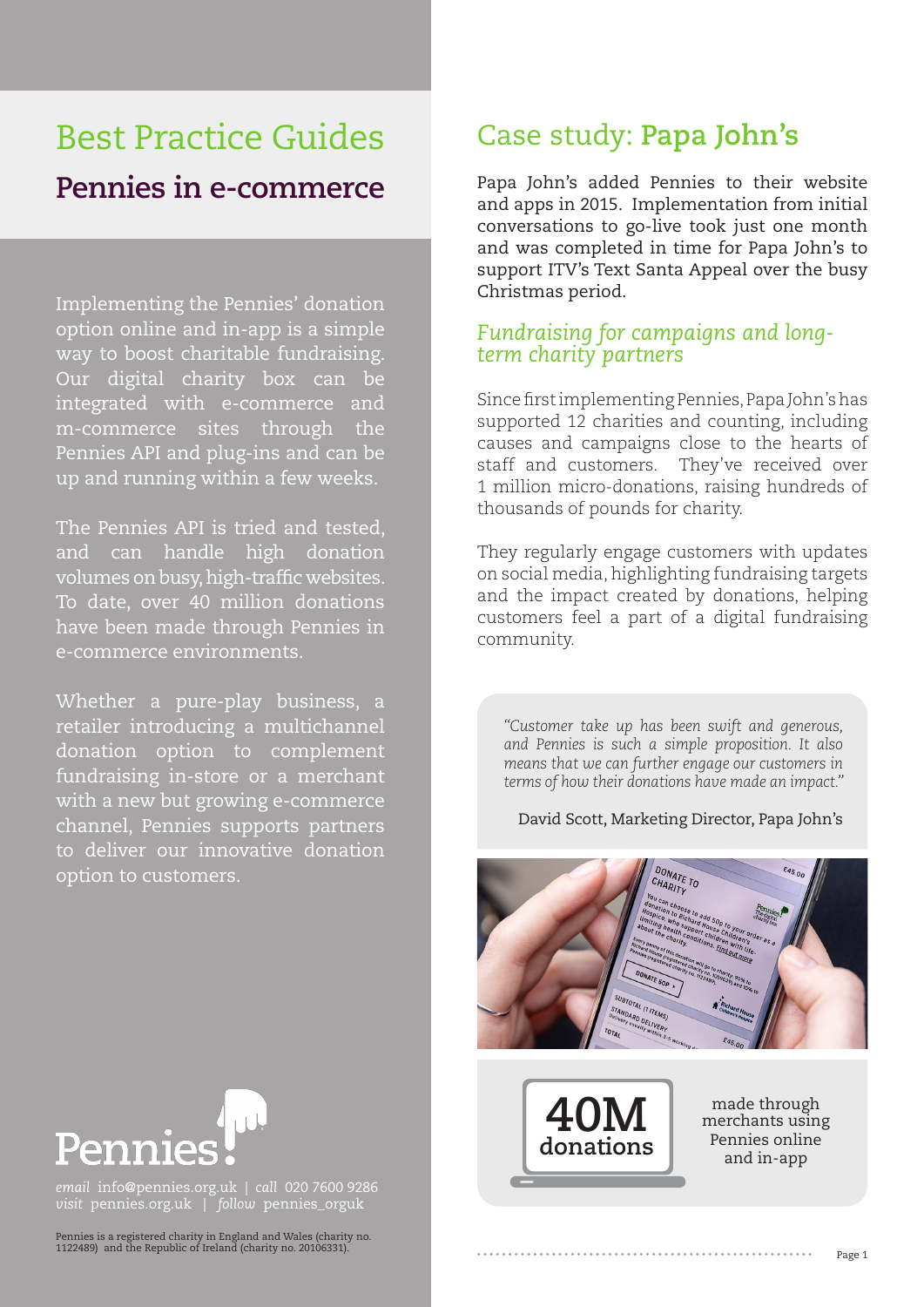# Best Practice Guides **Pennies in e-commerce**

Implementing the Pennies' donation option online and in-app is a simple way to boost charitable fundraising. Our digital charity box can be integrated with e-commerce and m-commerce sites through the Pennies API and plug-ins and can be up and running within a few weeks.

The Pennies API is tried and tested, and can handle high donation volumes on busy, high-traffic websites. To date, over 40 million donations have been made through Pennies in e-commerce environments.

Whether a pure-play business, a retailer introducing a multichannel donation option to complement fundraising in-store or a merchant with a new but growing e-commerce channel, Pennies supports partners to deliver our innovative donation option to customers.

## Case study: **Papa John's**

Papa John's added Pennies to their website and apps in 2015. Implementation from initial conversations to go-live took just one month and was completed in time for Papa John's to support ITV's Text Santa Appeal over the busy Christmas period.

### *Fundraising for campaigns and longterm charity partners*

Since first implementing Pennies, Papa John's has supported 12 charities and counting, including causes and campaigns close to the hearts of staff and customers. They've received over 1 million micro-donations, raising hundreds of thousands of pounds for charity.

They regularly engage customers with updates on social media, highlighting fundraising targets and the impact created by donations, helping customers feel a part of a digital fundraising community.

*"Customer take up has been swift and generous, and Pennies is such a simple proposition. It also means that we can further engage our customers in terms of how their donations have made an impact."*

#### David Scott, Marketing Director, Papa John's





made through merchants using Pennies online and in-app



*email* info@pennies.org.uk | *call* 020 7600 9286 *visit* pennies.org.uk | *follow* pennies\_orguk

Pennies is a registered charity in England and Wales (charity no. 1122489) and the Republic of Ireland (charity no. 20106331).